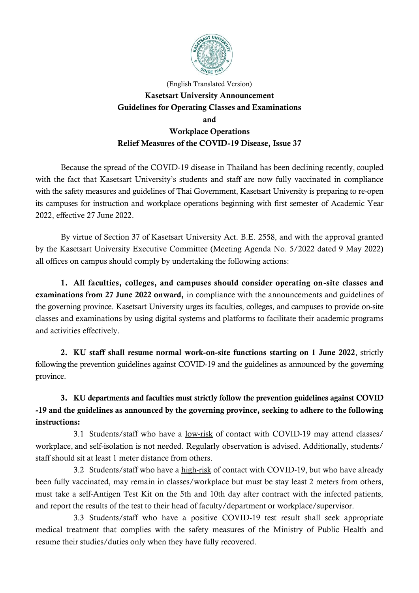

## (English Translated Version) **Kasetsart University Announcement Guidelines for Operating Classes and Examinations and Workplace Operations Relief Measures of the COVID-19 Disease, Issue 37**

Because the spread of the COVID-19 disease in Thailand has been declining recently, coupled with the fact that Kasetsart University's students and staff are now fully vaccinated in compliance with the safety measures and guidelines of Thai Government, Kasetsart University is preparing to re-open its campuses for instruction and workplace operations beginning with first semester of Academic Year 2022, effective 27 June 2022.

By virtue of Section 37 of Kasetsart University Act. B.E. 2558, and with the approval granted by the Kasetsart University Executive Committee (Meeting Agenda No. 5/2022 dated 9 May 2022) all offices on campus should comply by undertaking the following actions:

**1. All faculties, colleges, and campuses should consider operating on-site classes and examinations from 27 June 2022 onward,** in compliance with the announcements and guidelines of the governing province. Kasetsart University urges its faculties, colleges, and campuses to provide on-site classes and examinations by using digital systems and platforms to facilitate their academic programs and activities effectively.

**2. KU staff shall resume normal work-on-site functions starting on 1 June 2022**, strictly following the prevention guidelines against COVID-19 and the guidelines as announced by the governing province.

**3. KU departments and faculties must strictly follow the prevention guidelines against COVID -19 and the guidelines as announced by the governing province, seeking to adhere to the following instructions:**

3.1 Students/staff who have a low-risk of contact with COVID-19 may attend classes/ workplace, and self-isolation is not needed. Regularly observation is advised. Additionally, students/ staff should sit at least 1 meter distance from others.

3.2 Students/staff who have a high-risk of contact with COVID-19, but who have already been fully vaccinated, may remain in classes/workplace but must be stay least 2 meters from others, must take a self-Antigen Test Kit on the 5th and 10th day after contract with the infected patients, and report the results of the test to their head of faculty/department or workplace/supervisor.

3.3 Students/staff who have a positive COVID-19 test result shall seek appropriate medical treatment that complies with the safety measures of the Ministry of Public Health and resume their studies/duties only when they have fully recovered.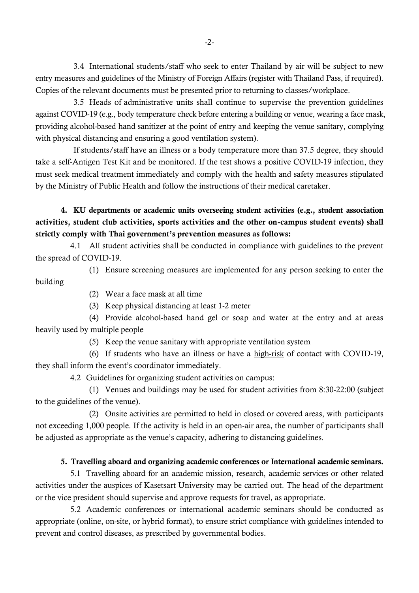3.4 International students/staff who seek to enter Thailand by air will be subject to new entry measures and guidelines of the Ministry of Foreign Affairs (register with Thailand Pass, if required). Copies of the relevant documents must be presented prior to returning to classes/workplace.

3.5 Heads of administrative units shall continue to supervise the prevention guidelines against COVID-19 (e.g., body temperature check before entering a building or venue, wearing a face mask, providing alcohol-based hand sanitizer at the point of entry and keeping the venue sanitary, complying with physical distancing and ensuring a good ventilation system).

If students/staff have an illness or a body temperature more than 37.5 degree, they should take a self-Antigen Test Kit and be monitored. If the test shows a positive COVID-19 infection, they must seek medical treatment immediately and comply with the health and safety measures stipulated by the Ministry of Public Health and follow the instructions of their medical caretaker.

**4. KU departments or academic units overseeing student activities (e.g., student association activities, student club activities, sports activities and the other on-campus student events) shall strictly comply with Thai government's prevention measures as follows:**

4.1 All student activities shall be conducted in compliance with guidelines to the prevent the spread of COVID-19.

(1) Ensure screening measures are implemented for any person seeking to enter the

(2) Wear a face mask at all time

building

(3) Keep physical distancing at least 1-2 meter

(4) Provide alcohol-based hand gel or soap and water at the entry and at areas heavily used by multiple people

(5) Keep the venue sanitary with appropriate ventilation system

(6) If students who have an illness or have a high-risk of contact with COVID-19, they shall inform the event's coordinator immediately.

4.2 Guidelines for organizing student activities on campus:

(1) Venues and buildings may be used for student activities from 8:30-22:00 (subject to the guidelines of the venue).

(2) Onsite activities are permitted to held in closed or covered areas, with participants not exceeding 1,000 people. If the activity is held in an open-air area, the number of participants shall be adjusted as appropriate as the venue's capacity, adhering to distancing guidelines.

## **5. Travelling aboard and organizing academic conferences or International academic seminars.**

5.1 Travelling aboard for an academic mission, research, academic services or other related activities under the auspices of Kasetsart University may be carried out. The head of the department or the vice president should supervise and approve requests for travel, as appropriate.

5.2 Academic conferences or international academic seminars should be conducted as appropriate (online, on-site, or hybrid format), to ensure strict compliance with guidelines intended to prevent and control diseases, as prescribed by governmental bodies.